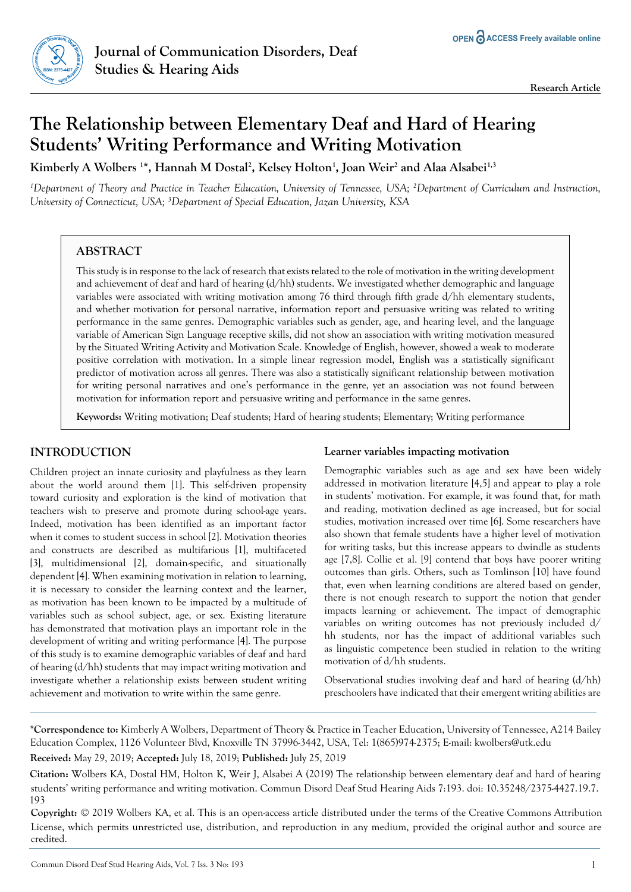

# **The Relationship between Elementary Deaf and Hard of Hearing Students' Writing Performance and Writing Motivation**

**Kimberly A Wolbers 1 \*, Hannah M Dostal2 , Kelsey Holton1 , Joan Weir2 and Alaa Alsabei1,3**

*1 Department of Theory and Practice in Teacher Education, University of Tennessee, USA; 2 Department of Curriculum and Instruction, University of Connecticut, USA; 3 Department of Special Education, Jazan University, KSA*

# **ABSTRACT**

This study is in response to the lack of research that exists related to the role of motivation in the writing development and achievement of deaf and hard of hearing (d/hh) students. We investigated whether demographic and language variables were associated with writing motivation among 76 third through fifth grade d/hh elementary students, and whether motivation for personal narrative, information report and persuasive writing was related to writing performance in the same genres. Demographic variables such as gender, age, and hearing level, and the language variable of American Sign Language receptive skills, did not show an association with writing motivation measured by the Situated Writing Activity and Motivation Scale. Knowledge of English, however, showed a weak to moderate positive correlation with motivation. In a simple linear regression model, English was a statistically significant predictor of motivation across all genres. There was also a statistically significant relationship between motivation for writing personal narratives and one's performance in the genre, yet an association was not found between motivation for information report and persuasive writing and performance in the same genres.

**Keywords:** Writing motivation; Deaf students; Hard of hearing students; Elementary; Writing performance

# **INTRODUCTION**

Children project an innate curiosity and playfulness as they learn about the world around them [1]. This self-driven propensity toward curiosity and exploration is the kind of motivation that teachers wish to preserve and promote during school-age years. Indeed, motivation has been identified as an important factor when it comes to student success in school [2]. Motivation theories and constructs are described as multifarious [1], multifaceted [3], multidimensional [2], domain-specific, and situationally dependent [4]. When examining motivation in relation to learning, it is necessary to consider the learning context and the learner, as motivation has been known to be impacted by a multitude of variables such as school subject, age, or sex. Existing literature has demonstrated that motivation plays an important role in the development of writing and writing performance [4]. The purpose of this study is to examine demographic variables of deaf and hard of hearing (d/hh) students that may impact writing motivation and investigate whether a relationship exists between student writing achievement and motivation to write within the same genre.

# **Learner variables impacting motivation**

Demographic variables such as age and sex have been widely addressed in motivation literature [4,5] and appear to play a role in students' motivation. For example, it was found that, for math and reading, motivation declined as age increased, but for social studies, motivation increased over time [6]. Some researchers have also shown that female students have a higher level of motivation for writing tasks, but this increase appears to dwindle as students age [7,8]. Collie et al. [9] contend that boys have poorer writing outcomes than girls. Others, such as Tomlinson [10] have found that, even when learning conditions are altered based on gender, there is not enough research to support the notion that gender impacts learning or achievement. The impact of demographic variables on writing outcomes has not previously included d/ hh students, nor has the impact of additional variables such as linguistic competence been studied in relation to the writing motivation of d/hh students.

Observational studies involving deaf and hard of hearing (d/hh) preschoolers have indicated that their emergent writing abilities are

**\*Correspondence to:** Kimberly A Wolbers, Department of Theory & Practice in Teacher Education, University of Tennessee, A214 Bailey Education Complex, 1126 Volunteer Blvd, Knoxville TN 37996-3442, USA, Tel: 1(865)974-2375; E-mail: kwolbers@utk.edu

**Received:** May 29, 2019; **Accepted:** July 18, 2019; **Published:** July 25, 2019

**Citation:** Wolbers KA, Dostal HM, Holton K, Weir J, Alsabei A (2019) The relationship between elementary deaf and hard of hearing students' writing performance and writing motivation. Commun Disord Deaf Stud Hearing Aids 7:193. doi: 10.35248/2375-4427.19.7. 193

**Copyright:** © 2019 Wolbers KA, et al. This is an open-access article distributed under the terms of the Creative Commons Attribution License, which permits unrestricted use, distribution, and reproduction in any medium, provided the original author and source are credited.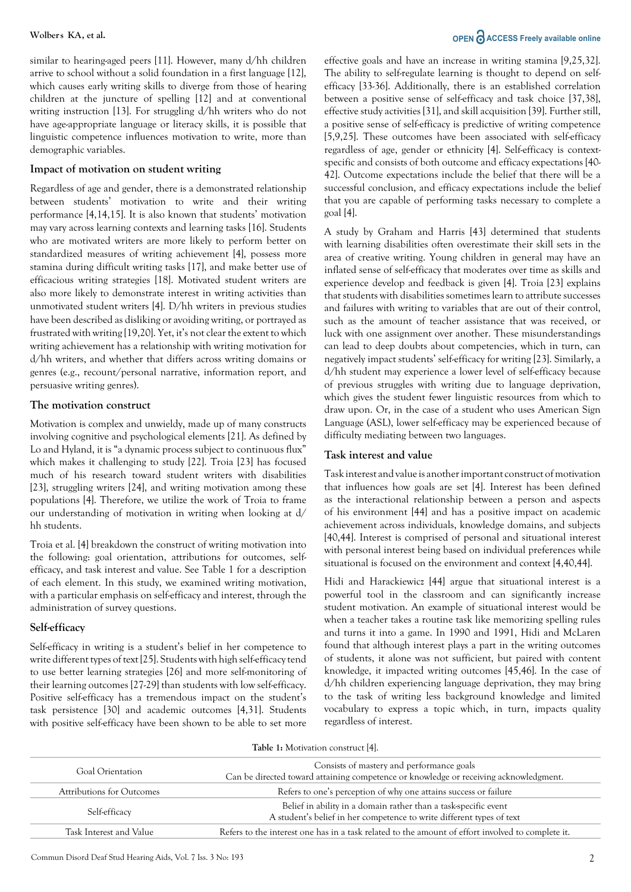similar to hearing-aged peers [11]. However, many d/hh children arrive to school without a solid foundation in a first language [12], which causes early writing skills to diverge from those of hearing children at the juncture of spelling [12] and at conventional writing instruction [13]. For struggling d/hh writers who do not have age-appropriate language or literacy skills, it is possible that linguistic competence influences motivation to write, more than demographic variables.

#### **Impact of motivation on student writing**

Regardless of age and gender, there is a demonstrated relationship between students' motivation to write and their writing performance [4,14,15]. It is also known that students' motivation may vary across learning contexts and learning tasks [16]. Students who are motivated writers are more likely to perform better on standardized measures of writing achievement [4], possess more stamina during difficult writing tasks [17], and make better use of efficacious writing strategies [18]. Motivated student writers are also more likely to demonstrate interest in writing activities than unmotivated student writers [4]. D/hh writers in previous studies have been described as disliking or avoiding writing, or portrayed as frustrated with writing [19,20]. Yet, it's not clear the extent to which writing achievement has a relationship with writing motivation for d/hh writers, and whether that differs across writing domains or genres (e.g., recount/personal narrative, information report, and persuasive writing genres).

#### **The motivation construct**

Motivation is complex and unwieldy, made up of many constructs involving cognitive and psychological elements [21]. As defined by Lo and Hyland, it is "a dynamic process subject to continuous flux" which makes it challenging to study [22]. Troia [23] has focused much of his research toward student writers with disabilities [23], struggling writers [24], and writing motivation among these populations [4]. Therefore, we utilize the work of Troia to frame our understanding of motivation in writing when looking at d/ hh students.

Troia et al. [4] breakdown the construct of writing motivation into the following: goal orientation, attributions for outcomes, selfefficacy, and task interest and value. See Table 1 for a description of each element. In this study, we examined writing motivation, with a particular emphasis on self-efficacy and interest, through the administration of survey questions.

# **Self-efficacy**

Self-efficacy in writing is a student's belief in her competence to write different types of text [25]. Students with high self-efficacy tend to use better learning strategies [26] and more self-monitoring of their learning outcomes [27-29] than students with low self-efficacy. Positive self-efficacy has a tremendous impact on the student's task persistence [30] and academic outcomes [4,31]. Students with positive self-efficacy have been shown to be able to set more

# **Wolbers KA, et al. OPEN**  $\partial$  **ACCESS Freely available online**

effective goals and have an increase in writing stamina [9,25,32]. The ability to self-regulate learning is thought to depend on selfefficacy [33-36]. Additionally, there is an established correlation between a positive sense of self-efficacy and task choice [37,38], effective study activities [31], and skill acquisition [39]. Further still, a positive sense of self-efficacy is predictive of writing competence [5,9,25]. These outcomes have been associated with self-efficacy regardless of age, gender or ethnicity [4]. Self-efficacy is contextspecific and consists of both outcome and efficacy expectations [40- 42]. Outcome expectations include the belief that there will be a successful conclusion, and efficacy expectations include the belief that you are capable of performing tasks necessary to complete a goal [4].

A study by Graham and Harris [43] determined that students with learning disabilities often overestimate their skill sets in the area of creative writing. Young children in general may have an inflated sense of self-efficacy that moderates over time as skills and experience develop and feedback is given [4]. Troia [23] explains that students with disabilities sometimes learn to attribute successes and failures with writing to variables that are out of their control, such as the amount of teacher assistance that was received, or luck with one assignment over another. These misunderstandings can lead to deep doubts about competencies, which in turn, can negatively impact students' self-efficacy for writing [23]. Similarly, a d/hh student may experience a lower level of self-efficacy because of previous struggles with writing due to language deprivation, which gives the student fewer linguistic resources from which to draw upon. Or, in the case of a student who uses American Sign Language (ASL), lower self-efficacy may be experienced because of difficulty mediating between two languages.

# **Task interest and value**

Task interest and value is another important construct of motivation that influences how goals are set [4]. Interest has been defined as the interactional relationship between a person and aspects of his environment [44] and has a positive impact on academic achievement across individuals, knowledge domains, and subjects [40,44]. Interest is comprised of personal and situational interest with personal interest being based on individual preferences while situational is focused on the environment and context [4,40,44].

Hidi and Harackiewicz [44] argue that situational interest is a powerful tool in the classroom and can significantly increase student motivation. An example of situational interest would be when a teacher takes a routine task like memorizing spelling rules and turns it into a game. In 1990 and 1991, Hidi and McLaren found that although interest plays a part in the writing outcomes of students, it alone was not sufficient, but paired with content knowledge, it impacted writing outcomes [45,46]. In the case of d/hh children experiencing language deprivation, they may bring to the task of writing less background knowledge and limited vocabulary to express a topic which, in turn, impacts quality regardless of interest.

| <b>Table 1:</b> Motivation construct [4]. |                                                                                                                                          |  |  |
|-------------------------------------------|------------------------------------------------------------------------------------------------------------------------------------------|--|--|
| Goal Orientation                          | Consists of mastery and performance goals<br>Can be directed toward attaining competence or knowledge or receiving acknowledgment.       |  |  |
| Attributions for Outcomes                 | Refers to one's perception of why one attains success or failure                                                                         |  |  |
| Self-efficacy                             | Belief in ability in a domain rather than a task-specific event<br>A student's belief in her competence to write different types of text |  |  |
| Task Interest and Value                   | Refers to the interest one has in a task related to the amount of effort involved to complete it.                                        |  |  |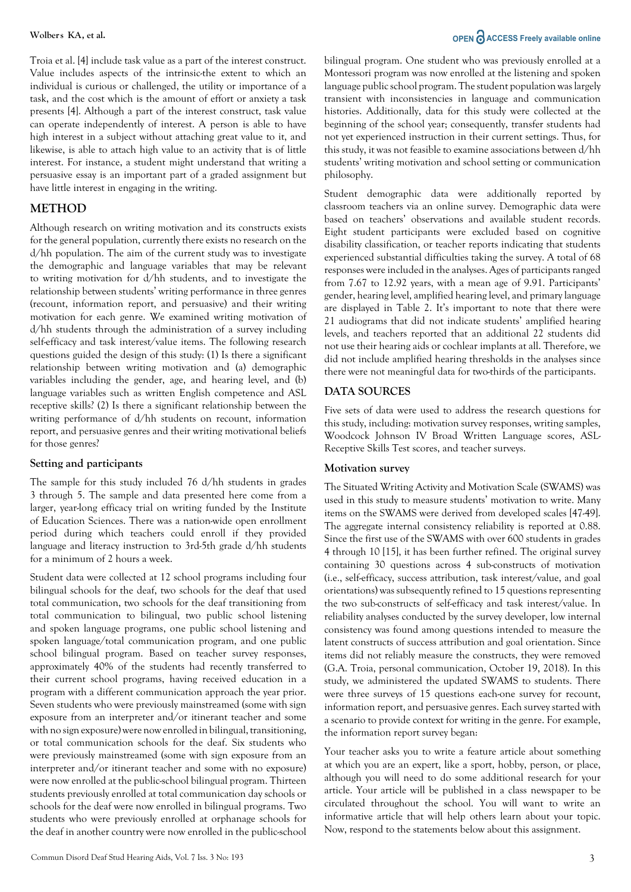Troia et al. [4] include task value as a part of the interest construct. Value includes aspects of the intrinsic-the extent to which an individual is curious or challenged, the utility or importance of a task, and the cost which is the amount of effort or anxiety a task presents [4]. Although a part of the interest construct, task value can operate independently of interest. A person is able to have high interest in a subject without attaching great value to it, and likewise, is able to attach high value to an activity that is of little interest. For instance, a student might understand that writing a persuasive essay is an important part of a graded assignment but have little interest in engaging in the writing.

# **METHOD**

Although research on writing motivation and its constructs exists for the general population, currently there exists no research on the d/hh population. The aim of the current study was to investigate the demographic and language variables that may be relevant to writing motivation for d/hh students, and to investigate the relationship between students' writing performance in three genres (recount, information report, and persuasive) and their writing motivation for each genre. We examined writing motivation of d/hh students through the administration of a survey including self-efficacy and task interest/value items. The following research questions guided the design of this study: (1) Is there a significant relationship between writing motivation and (a) demographic variables including the gender, age, and hearing level, and (b) language variables such as written English competence and ASL receptive skills? (2) Is there a significant relationship between the writing performance of d/hh students on recount, information report, and persuasive genres and their writing motivational beliefs for those genres?

#### **Setting and participants**

The sample for this study included 76 d/hh students in grades 3 through 5. The sample and data presented here come from a larger, year-long efficacy trial on writing funded by the Institute of Education Sciences. There was a nation-wide open enrollment period during which teachers could enroll if they provided language and literacy instruction to 3rd-5th grade d/hh students for a minimum of 2 hours a week.

Student data were collected at 12 school programs including four bilingual schools for the deaf, two schools for the deaf that used total communication, two schools for the deaf transitioning from total communication to bilingual, two public school listening and spoken language programs, one public school listening and spoken language/total communication program, and one public school bilingual program. Based on teacher survey responses, approximately 40% of the students had recently transferred to their current school programs, having received education in a program with a different communication approach the year prior. Seven students who were previously mainstreamed (some with sign exposure from an interpreter and/or itinerant teacher and some with no sign exposure) were now enrolled in bilingual, transitioning, or total communication schools for the deaf. Six students who were previously mainstreamed (some with sign exposure from an interpreter and/or itinerant teacher and some with no exposure) were now enrolled at the public-school bilingual program. Thirteen students previously enrolled at total communication day schools or schools for the deaf were now enrolled in bilingual programs. Two students who were previously enrolled at orphanage schools for the deaf in another country were now enrolled in the public-school

# **Wolbers KA, et al. OPEN**  $\partial$  **ACCESS Freely available online**

bilingual program. One student who was previously enrolled at a Montessori program was now enrolled at the listening and spoken language public school program. The student population was largely transient with inconsistencies in language and communication histories. Additionally, data for this study were collected at the beginning of the school year; consequently, transfer students had not yet experienced instruction in their current settings. Thus, for this study, it was not feasible to examine associations between d/hh students' writing motivation and school setting or communication philosophy.

Student demographic data were additionally reported by classroom teachers via an online survey. Demographic data were based on teachers' observations and available student records. Eight student participants were excluded based on cognitive disability classification, or teacher reports indicating that students experienced substantial difficulties taking the survey. A total of 68 responses were included in the analyses. Ages of participants ranged from 7.67 to 12.92 years, with a mean age of 9.91. Participants' gender, hearing level, amplified hearing level, and primary language are displayed in Table 2. It's important to note that there were 21 audiograms that did not indicate students' amplified hearing levels, and teachers reported that an additional 22 students did not use their hearing aids or cochlear implants at all. Therefore, we did not include amplified hearing thresholds in the analyses since there were not meaningful data for two-thirds of the participants.

# **DATA SOURCES**

Five sets of data were used to address the research questions for this study, including: motivation survey responses, writing samples, Woodcock Johnson IV Broad Written Language scores, ASL-Receptive Skills Test scores, and teacher surveys.

# **Motivation survey**

The Situated Writing Activity and Motivation Scale (SWAMS) was used in this study to measure students' motivation to write. Many items on the SWAMS were derived from developed scales [47-49]. The aggregate internal consistency reliability is reported at 0.88. Since the first use of the SWAMS with over 600 students in grades 4 through 10 [15], it has been further refined. The original survey containing 30 questions across 4 sub-constructs of motivation (i.e., self-efficacy, success attribution, task interest/value, and goal orientations) was subsequently refined to 15 questions representing the two sub-constructs of self-efficacy and task interest/value. In reliability analyses conducted by the survey developer, low internal consistency was found among questions intended to measure the latent constructs of success attribution and goal orientation. Since items did not reliably measure the constructs, they were removed (G.A. Troia, personal communication, October 19, 2018). In this study, we administered the updated SWAMS to students. There were three surveys of 15 questions each-one survey for recount, information report, and persuasive genres. Each survey started with a scenario to provide context for writing in the genre. For example, the information report survey began:

Your teacher asks you to write a feature article about something at which you are an expert, like a sport, hobby, person, or place, although you will need to do some additional research for your article. Your article will be published in a class newspaper to be circulated throughout the school. You will want to write an informative article that will help others learn about your topic. Now, respond to the statements below about this assignment.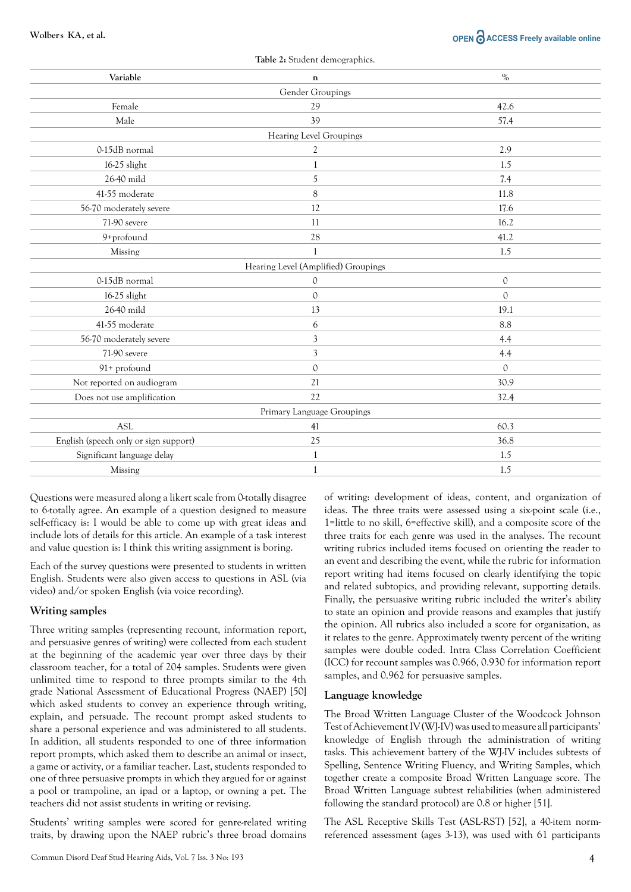# **Wolbers KA, et al. OPEN**  $\partial$  **ACCESS Freely available online**

| Table 2: Student demographics.        |                                     |               |  |  |  |  |
|---------------------------------------|-------------------------------------|---------------|--|--|--|--|
| Variable                              | $\mathbf n$                         | $\%$          |  |  |  |  |
| Gender Groupings                      |                                     |               |  |  |  |  |
| Female                                | 29                                  | 42.6          |  |  |  |  |
| Male                                  | 39                                  | 57.4          |  |  |  |  |
| Hearing Level Groupings               |                                     |               |  |  |  |  |
| 0-15dB normal                         | 2                                   | 2.9           |  |  |  |  |
| 16-25 slight                          | 1                                   | 1.5           |  |  |  |  |
| 26-40 mild                            | 5                                   | 7.4           |  |  |  |  |
| 41-55 moderate                        | 8                                   | 11.8          |  |  |  |  |
| 56-70 moderately severe               | 12                                  | 17.6          |  |  |  |  |
| 71-90 severe                          | 11                                  | 16.2          |  |  |  |  |
| 9+profound                            | 28                                  | 41.2          |  |  |  |  |
| Missing                               | $\mathbf{1}$                        | 1.5           |  |  |  |  |
|                                       | Hearing Level (Amplified) Groupings |               |  |  |  |  |
| 0-15dB normal                         | $\mathbf{0}$                        | $\mathbf{0}$  |  |  |  |  |
| 16-25 slight                          | $\mathcal{O}$                       | $\mathcal{O}$ |  |  |  |  |
| 26-40 mild                            | 13                                  | 19.1          |  |  |  |  |
| 41-55 moderate                        | 6                                   | 8.8           |  |  |  |  |
| 56-70 moderately severe               | 3                                   | 4.4           |  |  |  |  |
| 71-90 severe                          | 3                                   | 4.4           |  |  |  |  |
| 91+ profound                          | $\Omega$                            | $\Omega$      |  |  |  |  |
| Not reported on audiogram             | 21                                  | 30.9          |  |  |  |  |
| Does not use amplification            | 22                                  | 32.4          |  |  |  |  |
|                                       | Primary Language Groupings          |               |  |  |  |  |
| <b>ASL</b>                            | 41                                  | 60.3          |  |  |  |  |
| English (speech only or sign support) | 25                                  | 36.8          |  |  |  |  |
| Significant language delay            | 1                                   | 1.5           |  |  |  |  |
| Missing                               | 1                                   | 1.5           |  |  |  |  |

Questions were measured along a likert scale from 0-totally disagree to 6-totally agree. An example of a question designed to measure self-efficacy is: I would be able to come up with great ideas and include lots of details for this article. An example of a task interest and value question is: I think this writing assignment is boring.

Each of the survey questions were presented to students in written English. Students were also given access to questions in ASL (via video) and/or spoken English (via voice recording).

# **Writing samples**

Three writing samples (representing recount, information report, and persuasive genres of writing) were collected from each student at the beginning of the academic year over three days by their classroom teacher, for a total of 204 samples. Students were given unlimited time to respond to three prompts similar to the 4th grade National Assessment of Educational Progress (NAEP) [50] which asked students to convey an experience through writing, explain, and persuade. The recount prompt asked students to share a personal experience and was administered to all students. In addition, all students responded to one of three information report prompts, which asked them to describe an animal or insect, a game or activity, or a familiar teacher. Last, students responded to one of three persuasive prompts in which they argued for or against a pool or trampoline, an ipad or a laptop, or owning a pet. The teachers did not assist students in writing or revising.

Students' writing samples were scored for genre-related writing traits, by drawing upon the NAEP rubric's three broad domains of writing: development of ideas, content, and organization of ideas. The three traits were assessed using a six-point scale (i.e., 1=little to no skill, 6=effective skill), and a composite score of the three traits for each genre was used in the analyses. The recount writing rubrics included items focused on orienting the reader to an event and describing the event, while the rubric for information report writing had items focused on clearly identifying the topic and related subtopics, and providing relevant, supporting details. Finally, the persuasive writing rubric included the writer's ability to state an opinion and provide reasons and examples that justify the opinion. All rubrics also included a score for organization, as it relates to the genre. Approximately twenty percent of the writing samples were double coded. Intra Class Correlation Coefficient (ICC) for recount samples was 0.966, 0.930 for information report samples, and 0.962 for persuasive samples.

#### **Language knowledge**

The Broad Written Language Cluster of the Woodcock Johnson Test of Achievement IV (WJ-IV) was used to measure all participants' knowledge of English through the administration of writing tasks. This achievement battery of the WJ-IV includes subtests of Spelling, Sentence Writing Fluency, and Writing Samples, which together create a composite Broad Written Language score. The Broad Written Language subtest reliabilities (when administered following the standard protocol) are 0.8 or higher [51].

The ASL Receptive Skills Test (ASL-RST) [52], a 40-item normreferenced assessment (ages 3-13), was used with 61 participants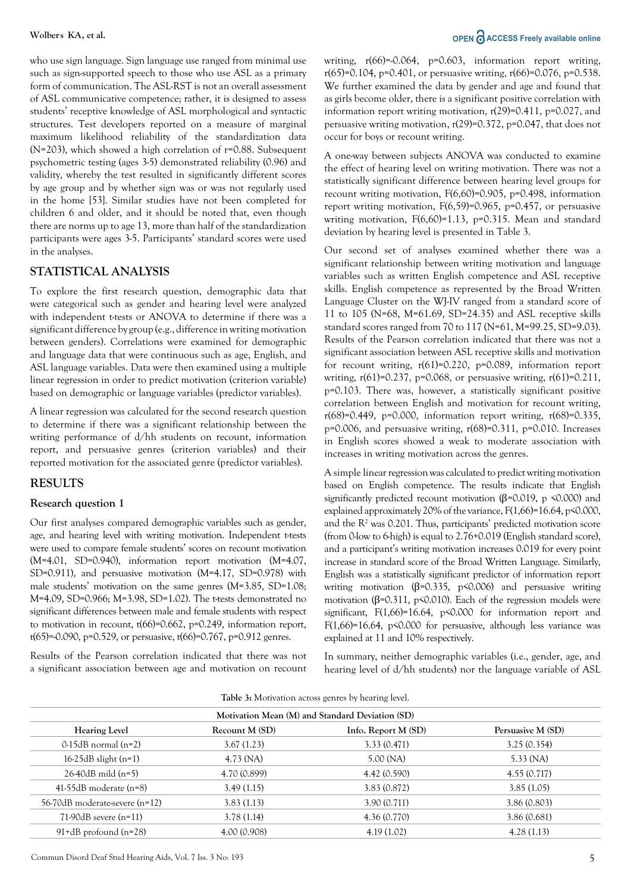who use sign language. Sign language use ranged from minimal use such as sign-supported speech to those who use ASL as a primary form of communication. The ASL-RST is not an overall assessment of ASL communicative competence; rather, it is designed to assess students' receptive knowledge of ASL morphological and syntactic structures. Test developers reported on a measure of marginal maximum likelihood reliability of the standardization data (N=203), which showed a high correlation of r=0.88. Subsequent psychometric testing (ages 3-5) demonstrated reliability (0.96) and validity, whereby the test resulted in significantly different scores by age group and by whether sign was or was not regularly used in the home [53]. Similar studies have not been completed for children 6 and older, and it should be noted that, even though there are norms up to age 13, more than half of the standardization participants were ages 3-5. Participants' standard scores were used in the analyses.

# **STATISTICAL ANALYSIS**

To explore the first research question, demographic data that were categorical such as gender and hearing level were analyzed with independent t-tests or ANOVA to determine if there was a significant difference by group (e.g., difference in writing motivation between genders). Correlations were examined for demographic and language data that were continuous such as age, English, and ASL language variables. Data were then examined using a multiple linear regression in order to predict motivation (criterion variable) based on demographic or language variables (predictor variables).

A linear regression was calculated for the second research question to determine if there was a significant relationship between the writing performance of d/hh students on recount, information report, and persuasive genres (criterion variables) and their reported motivation for the associated genre (predictor variables).

# **RESULTS**

#### **Research question 1**

Our first analyses compared demographic variables such as gender, age, and hearing level with writing motivation. Independent t-tests were used to compare female students' scores on recount motivation (M=4.01, SD=0.940), information report motivation (M=4.07, SD=0.911), and persuasive motivation (M=4.17, SD=0.978) with male students' motivation on the same genres (M=3.85, SD=1.08; M=4.09, SD=0.966; M=3.98, SD=1.02). The t-tests demonstrated no significant differences between male and female students with respect to motivation in recount,  $t(66)=0.662$ ,  $p=0.249$ , information report, t(65)=-0.090, p=0.529, or persuasive, t(66)=0.767, p=0.912 genres.

Results of the Pearson correlation indicated that there was not a significant association between age and motivation on recount

# **Wolbers KA, et al. OPEN**  $\partial$  **ACCESS Freely available online**

writing,  $r(66)=0.064$ ,  $p=0.603$ , information report writing, r(65)=0.104, p=0.401, or persuasive writing, r(66)=0.076, p=0.538. We further examined the data by gender and age and found that as girls become older, there is a significant positive correlation with information report writing motivation,  $r(29)=0.411$ ,  $p=0.027$ , and persuasive writing motivation, r(29)=0.372, p=0.047, that does not occur for boys or recount writing.

A one-way between subjects ANOVA was conducted to examine the effect of hearing level on writing motivation. There was not a statistically significant difference between hearing level groups for recount writing motivation, F(6,60)=0.905, p=0.498, information report writing motivation,  $F(6,59)=0.965$ , p=0.457, or persuasive writing motivation, F(6,60)=1.13, p=0.315. Mean and standard deviation by hearing level is presented in Table 3.

Our second set of analyses examined whether there was a significant relationship between writing motivation and language variables such as written English competence and ASL receptive skills. English competence as represented by the Broad Written Language Cluster on the WJ-IV ranged from a standard score of 11 to 105 (N=68, M=61.69, SD=24.35) and ASL receptive skills standard scores ranged from 70 to 117 (N=61, M=99.25, SD=9.03). Results of the Pearson correlation indicated that there was not a significant association between ASL receptive skills and motivation for recount writing, r(61)=0.220, p=0.089, information report writing,  $r(61)=0.237$ ,  $p=0.068$ , or persuasive writing,  $r(61)=0.211$ , p=0.103. There was, however, a statistically significant positive correlation between English and motivation for recount writing,  $r(68)=0.449$ , p=0.000, information report writing,  $r(68)=0.335$ , p=0.006, and persuasive writing, r(68)=0.311, p=0.010. Increases in English scores showed a weak to moderate association with increases in writing motivation across the genres.

A simple linear regression was calculated to predict writing motivation based on English competence. The results indicate that English significantly predicted recount motivation ( $\beta$ =0.019, p <0.000) and explained approximately 20% of the variance,  $F(1,66)=16.64$ ,  $p<0.000$ , and the  $R<sup>2</sup>$  was 0.201. Thus, participants' predicted motivation score (from 0-low to 6-high) is equal to 2.76+0.019 (English standard score), and a participant's writing motivation increases 0.019 for every point increase in standard score of the Broad Written Language. Similarly, English was a statistically significant predictor of information report writing motivation ( $\beta$ =0.335, p <0.006) and persuasive writing motivation ( $\beta$ =0.311, p<0.010). Each of the regression models were significant,  $F(1,66) = 16.64$ ,  $p \le 0.000$  for information report and F(1,66)=16.64, p $\leq$ 0.000 for persuasive, although less variance was explained at 11 and 10% respectively.

In summary, neither demographic variables (i.e., gender, age, and hearing level of d/hh students) nor the language variable of ASL

| <b>Table 3:</b> Motivation across genres by hearing level.<br>Motivation Mean (M) and Standard Deviation (SD) |              |              |              |  |  |
|---------------------------------------------------------------------------------------------------------------|--------------|--------------|--------------|--|--|
|                                                                                                               |              |              |              |  |  |
| $0.15dB$ normal (n=2)                                                                                         | 3.67(1.23)   | 3.33(0.471)  | 3.25(0.354)  |  |  |
| $16-25dB$ slight $(n=1)$                                                                                      | $4.73$ (NA)  | 5.00(NA)     | $5.33$ (NA)  |  |  |
| $26-40$ dB mild (n=5)                                                                                         | 4.70 (0.899) | 4.42 (0.590) | 4.55(0.717)  |  |  |
| 41-55dB moderate $(n=8)$                                                                                      | 3.49(1.15)   | 3.83 (0.872) | 3.85(1.05)   |  |  |
| 56-70dB moderate-severe (n=12)                                                                                | 3.83(1.13)   | 3.90(0.711)  | 3.86(0.803)  |  |  |
| $71-90dB$ severe $(n=11)$                                                                                     | 3.78(1.14)   | 4.36(0.770)  | 3.86 (0.681) |  |  |
| $91+d$ B profound (n=28)                                                                                      | 4.00 (0.908) | 4.19(1.02)   | 4.28(1.13)   |  |  |
|                                                                                                               |              |              |              |  |  |

**Table 3:** Motivation across genres by hearing level.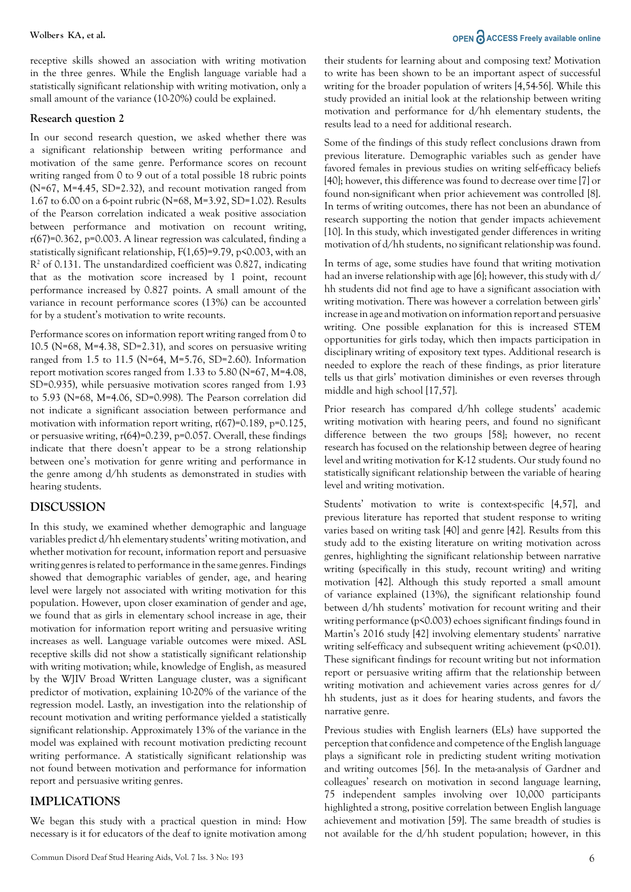receptive skills showed an association with writing motivation in the three genres. While the English language variable had a statistically significant relationship with writing motivation, only a small amount of the variance (10-20%) could be explained.

#### **Research question 2**

In our second research question, we asked whether there was a significant relationship between writing performance and motivation of the same genre. Performance scores on recount writing ranged from 0 to 9 out of a total possible 18 rubric points (N=67, M=4.45, SD=2.32), and recount motivation ranged from 1.67 to 6.00 on a 6-point rubric (N=68, M=3.92, SD=1.02). Results of the Pearson correlation indicated a weak positive association between performance and motivation on recount writing, r(67)=0.362, p=0.003. A linear regression was calculated, finding a statistically significant relationship,  $F(1,65)=9.79$ ,  $p<0.003$ , with an R<sup>2</sup> of 0.131. The unstandardized coefficient was 0.827, indicating that as the motivation score increased by 1 point, recount performance increased by 0.827 points. A small amount of the variance in recount performance scores (13%) can be accounted for by a student's motivation to write recounts.

Performance scores on information report writing ranged from 0 to 10.5 ( $N=68$ ,  $M=4.38$ ,  $SD=2.31$ ), and scores on persuasive writing ranged from 1.5 to 11.5 (N=64, M=5.76, SD=2.60). Information report motivation scores ranged from 1.33 to 5.80 (N=67, M=4.08, SD=0.935), while persuasive motivation scores ranged from 1.93 to 5.93 (N=68, M=4.06, SD=0.998). The Pearson correlation did not indicate a significant association between performance and motivation with information report writing, r(67)=0.189, p=0.125, or persuasive writing, r(64)=0.239, p=0.057. Overall, these findings indicate that there doesn't appear to be a strong relationship between one's motivation for genre writing and performance in the genre among d/hh students as demonstrated in studies with hearing students.

# **DISCUSSION**

In this study, we examined whether demographic and language variables predict d/hh elementary students' writing motivation, and whether motivation for recount, information report and persuasive writing genres is related to performance in the same genres. Findings showed that demographic variables of gender, age, and hearing level were largely not associated with writing motivation for this population. However, upon closer examination of gender and age, we found that as girls in elementary school increase in age, their motivation for information report writing and persuasive writing increases as well. Language variable outcomes were mixed. ASL receptive skills did not show a statistically significant relationship with writing motivation; while, knowledge of English, as measured by the WJIV Broad Written Language cluster, was a significant predictor of motivation, explaining 10-20% of the variance of the regression model. Lastly, an investigation into the relationship of recount motivation and writing performance yielded a statistically significant relationship. Approximately 13% of the variance in the model was explained with recount motivation predicting recount writing performance. A statistically significant relationship was not found between motivation and performance for information report and persuasive writing genres.

# **IMPLICATIONS**

We began this study with a practical question in mind: How necessary is it for educators of the deaf to ignite motivation among

# **Wolbers KA, et al. OPEN**  $\partial$  **ACCESS Freely available online**

their students for learning about and composing text? Motivation to write has been shown to be an important aspect of successful writing for the broader population of writers [4,54-56]. While this study provided an initial look at the relationship between writing motivation and performance for d/hh elementary students, the results lead to a need for additional research.

Some of the findings of this study reflect conclusions drawn from previous literature. Demographic variables such as gender have favored females in previous studies on writing self-efficacy beliefs [40]; however, this difference was found to decrease over time [7] or found non-significant when prior achievement was controlled [8]. In terms of writing outcomes, there has not been an abundance of research supporting the notion that gender impacts achievement [10]. In this study, which investigated gender differences in writing motivation of d/hh students, no significant relationship was found.

In terms of age, some studies have found that writing motivation had an inverse relationship with age [6]; however, this study with d/ hh students did not find age to have a significant association with writing motivation. There was however a correlation between girls' increase in age and motivation on information report and persuasive writing. One possible explanation for this is increased STEM opportunities for girls today, which then impacts participation in disciplinary writing of expository text types. Additional research is needed to explore the reach of these findings, as prior literature tells us that girls' motivation diminishes or even reverses through middle and high school [17,57].

Prior research has compared d/hh college students' academic writing motivation with hearing peers, and found no significant difference between the two groups [58]; however, no recent research has focused on the relationship between degree of hearing level and writing motivation for K-12 students. Our study found no statistically significant relationship between the variable of hearing level and writing motivation.

Students' motivation to write is context-specific [4,57], and previous literature has reported that student response to writing varies based on writing task [40] and genre [42]. Results from this study add to the existing literature on writing motivation across genres, highlighting the significant relationship between narrative writing (specifically in this study, recount writing) and writing motivation [42]. Although this study reported a small amount of variance explained (13%), the significant relationship found between d/hh students' motivation for recount writing and their writing performance (p<0.003) echoes significant findings found in Martin's 2016 study [42] involving elementary students' narrative writing self-efficacy and subsequent writing achievement (p<0.01). These significant findings for recount writing but not information report or persuasive writing affirm that the relationship between writing motivation and achievement varies across genres for d/ hh students, just as it does for hearing students, and favors the narrative genre.

Previous studies with English learners (ELs) have supported the perception that confidence and competence of the English language plays a significant role in predicting student writing motivation and writing outcomes [56]. In the meta-analysis of Gardner and colleagues' research on motivation in second language learning, 75 independent samples involving over 10,000 participants highlighted a strong, positive correlation between English language achievement and motivation [59]. The same breadth of studies is not available for the d/hh student population; however, in this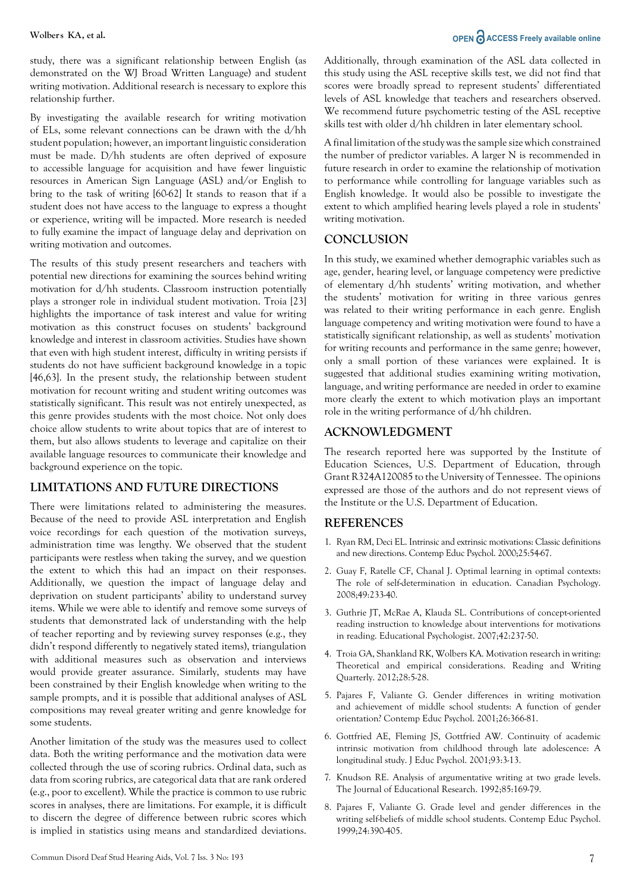study, there was a significant relationship between English (as demonstrated on the WJ Broad Written Language) and student writing motivation. Additional research is necessary to explore this relationship further.

By investigating the available research for writing motivation of ELs, some relevant connections can be drawn with the d/hh student population; however, an important linguistic consideration must be made. D/hh students are often deprived of exposure to accessible language for acquisition and have fewer linguistic resources in American Sign Language (ASL) and/or English to bring to the task of writing [60-62] It stands to reason that if a student does not have access to the language to express a thought or experience, writing will be impacted. More research is needed to fully examine the impact of language delay and deprivation on writing motivation and outcomes.

The results of this study present researchers and teachers with potential new directions for examining the sources behind writing motivation for d/hh students. Classroom instruction potentially plays a stronger role in individual student motivation. Troia [23] highlights the importance of task interest and value for writing motivation as this construct focuses on students' background knowledge and interest in classroom activities. Studies have shown that even with high student interest, difficulty in writing persists if students do not have sufficient background knowledge in a topic [46,63]. In the present study, the relationship between student motivation for recount writing and student writing outcomes was statistically significant. This result was not entirely unexpected, as this genre provides students with the most choice. Not only does choice allow students to write about topics that are of interest to them, but also allows students to leverage and capitalize on their available language resources to communicate their knowledge and background experience on the topic.

# **LIMITATIONS AND FUTURE DIRECTIONS**

There were limitations related to administering the measures. Because of the need to provide ASL interpretation and English voice recordings for each question of the motivation surveys, administration time was lengthy. We observed that the student participants were restless when taking the survey, and we question the extent to which this had an impact on their responses. Additionally, we question the impact of language delay and deprivation on student participants' ability to understand survey items. While we were able to identify and remove some surveys of students that demonstrated lack of understanding with the help of teacher reporting and by reviewing survey responses (e.g., they didn't respond differently to negatively stated items), triangulation with additional measures such as observation and interviews would provide greater assurance. Similarly, students may have been constrained by their English knowledge when writing to the sample prompts, and it is possible that additional analyses of ASL compositions may reveal greater writing and genre knowledge for some students.

Another limitation of the study was the measures used to collect data. Both the writing performance and the motivation data were collected through the use of scoring rubrics. Ordinal data, such as data from scoring rubrics, are categorical data that are rank ordered (e.g., poor to excellent). While the practice is common to use rubric scores in analyses, there are limitations. For example, it is difficult to discern the degree of difference between rubric scores which is implied in statistics using means and standardized deviations.

# **Wolbers KA, et al. OPEN**  $\partial$  **ACCESS Freely available online**

Additionally, through examination of the ASL data collected in this study using the ASL receptive skills test, we did not find that scores were broadly spread to represent students' differentiated levels of ASL knowledge that teachers and researchers observed. We recommend future psychometric testing of the ASL receptive skills test with older d/hh children in later elementary school.

A final limitation of the study was the sample size which constrained the number of predictor variables. A larger N is recommended in future research in order to examine the relationship of motivation to performance while controlling for language variables such as English knowledge. It would also be possible to investigate the extent to which amplified hearing levels played a role in students' writing motivation.

# **CONCLUSION**

In this study, we examined whether demographic variables such as age, gender, hearing level, or language competency were predictive of elementary d/hh students' writing motivation, and whether the students' motivation for writing in three various genres was related to their writing performance in each genre. English language competency and writing motivation were found to have a statistically significant relationship, as well as students' motivation for writing recounts and performance in the same genre; however, only a small portion of these variances were explained. It is suggested that additional studies examining writing motivation, language, and writing performance are needed in order to examine more clearly the extent to which motivation plays an important role in the writing performance of d/hh children.

# **ACKNOWLEDGMENT**

The research reported here was supported by the Institute of Education Sciences, U.S. Department of Education, through Grant R324A120085 to the University of Tennessee. The opinions expressed are those of the authors and do not represent views of the Institute or the U.S. Department of Education.

# **REFERENCES**

- 1. Ryan RM, Deci EL. Intrinsic and extrinsic motivations: Classic definitions and new directions. Contemp Educ Psychol. 2000;25:54-67.
- 2. Guay F, Ratelle CF, Chanal J. Optimal learning in optimal contexts: The role of self-determination in education. Canadian Psychology. 2008;49:233-40.
- 3. Guthrie JT, McRae A, Klauda SL. Contributions of concept-oriented reading instruction to knowledge about interventions for motivations in reading. Educational Psychologist. 2007;42:237-50.
- 4. Troia GA, Shankland RK, Wolbers KA. Motivation research in writing: Theoretical and empirical considerations. Reading and Writing Quarterly. 2012;28:5-28.
- 5. Pajares F, Valiante G. Gender differences in writing motivation and achievement of middle school students: A function of gender orientation? Contemp Educ Psychol. 2001;26:366-81.
- 6. Gottfried AE, Fleming JS, Gottfried AW. Continuity of academic intrinsic motivation from childhood through late adolescence: A longitudinal study. J Educ Psychol. 2001;93:3-13.
- 7. Knudson RE. Analysis of argumentative writing at two grade levels. The Journal of Educational Research. 1992;85:169-79.
- 8. Pajares F, Valiante G. Grade level and gender differences in the writing self-beliefs of middle school students. Contemp Educ Psychol. 1999;24:390-405.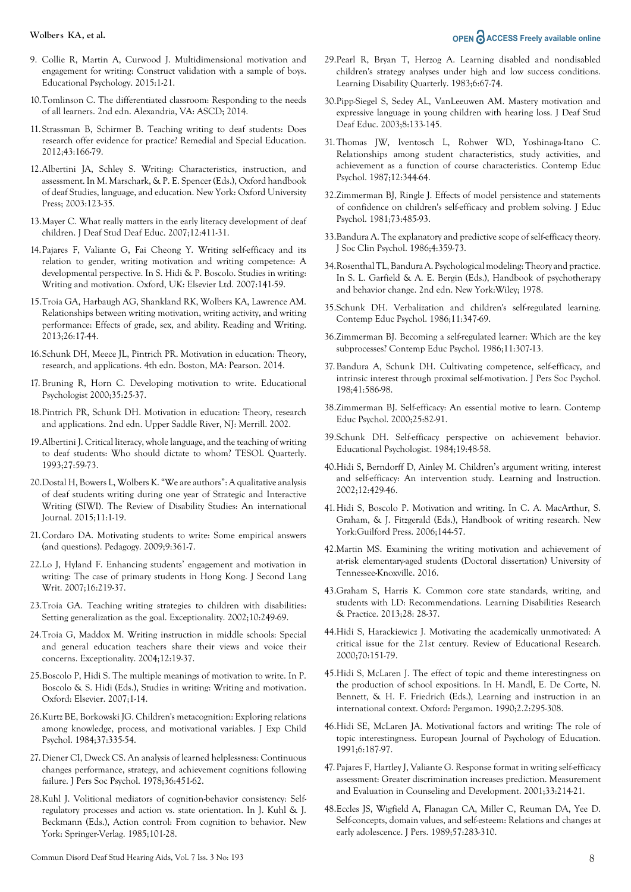#### **Wolbers KA, et al. OPEN**  $\partial$  **ACCESS Freely available online**

- 9. Collie R, Martin A, Curwood J. Multidimensional motivation and engagement for writing: Construct validation with a sample of boys. Educational Psychology. 2015:1-21.
- 10.Tomlinson C. The differentiated classroom: Responding to the needs of all learners. 2nd edn. Alexandria, VA: ASCD; 2014.
- 11.Strassman B, Schirmer B. Teaching writing to deaf students: Does research offer evidence for practice? Remedial and Special Education. 2012;43:166-79.
- 12.Albertini JA, Schley S. Writing: Characteristics, instruction, and assessment. In M. Marschark, & P. E. Spencer (Eds.), Oxford handbook of deaf Studies, language, and education. New York: Oxford University Press; 2003:123-35.
- 13.Mayer C. What really matters in the early literacy development of deaf children. J Deaf Stud Deaf Educ. 2007;12:411-31.
- 14.Pajares F, Valiante G, Fai Cheong Y. Writing self-efficacy and its relation to gender, writing motivation and writing competence: A developmental perspective. In S. Hidi & P. Boscolo. Studies in writing: Writing and motivation. Oxford, UK: Elsevier Ltd. 2007:141-59.
- 15.Troia GA, Harbaugh AG, Shankland RK, Wolbers KA, Lawrence AM. Relationships between writing motivation, writing activity, and writing performance: Effects of grade, sex, and ability. Reading and Writing. 2013;26:17-44.
- 16.Schunk DH, Meece JL, Pintrich PR. Motivation in education: Theory, research, and applications. 4th edn. Boston, MA: Pearson. 2014.
- 17. Bruning R, Horn C. Developing motivation to write. Educational Psychologist 2000;35:25-37.
- 18.Pintrich PR, Schunk DH. Motivation in education: Theory, research and applications. 2nd edn. Upper Saddle River, NJ: Merrill. 2002.
- 19.Albertini J. Critical literacy, whole language, and the teaching of writing to deaf students: Who should dictate to whom? TESOL Quarterly. 1993;27:59-73.
- 20.Dostal H, Bowers L, Wolbers K. "We are authors": A qualitative analysis of deaf students writing during one year of Strategic and Interactive Writing (SIWI). The Review of Disability Studies: An international Journal. 2015;11:1-19.
- 21.Cordaro DA. Motivating students to write: Some empirical answers (and questions). Pedagogy. 2009;9:361-7.
- 22.Lo J, Hyland F. Enhancing students' engagement and motivation in writing: The case of primary students in Hong Kong. J Second Lang Writ. 2007;16:219-37.
- 23.Troia GA. Teaching writing strategies to children with disabilities: Setting generalization as the goal. Exceptionality. 2002;10:249-69.
- 24.Troia G, Maddox M. Writing instruction in middle schools: Special and general education teachers share their views and voice their concerns. Exceptionality. 2004;12:19-37.
- 25.Boscolo P, Hidi S. The multiple meanings of motivation to write. In P. Boscolo & S. Hidi (Eds.), Studies in writing: Writing and motivation. Oxford: Elsevier. 2007;1-14.
- 26.Kurtz BE, Borkowski JG. Children's metacognition: Exploring relations among knowledge, process, and motivational variables. J Exp Child Psychol. 1984;37:335-54.
- 27.Diener CI, Dweck CS. An analysis of learned helplessness: Continuous changes performance, strategy, and achievement cognitions following failure. J Pers Soc Psychol. 1978;36:451-62.
- 28.Kuhl J. Volitional mediators of cognition-behavior consistency: Selfregulatory processes and action vs. state orientation. In J. Kuhl & J. Beckmann (Eds.), Action control: From cognition to behavior. New York: Springer-Verlag. 1985;101-28.
- 29.Pearl R, Bryan T, Herzog A. Learning disabled and nondisabled children's strategy analyses under high and low success conditions. Learning Disability Quarterly. 1983;6:67-74.
- 30.Pipp-Siegel S, Sedey AL, VanLeeuwen AM. Mastery motivation and expressive language in young children with hearing loss. J Deaf Stud Deaf Educ. 2003;8:133-145.
- 31.Thomas JW, Iventosch L, Rohwer WD, Yoshinaga-Itano C. Relationships among student characteristics, study activities, and achievement as a function of course characteristics. Contemp Educ Psychol. 1987;12:344-64.
- 32.Zimmerman BJ, Ringle J. Effects of model persistence and statements of confidence on children's self-efficacy and problem solving. J Educ Psychol. 1981;73:485-93.
- 33.Bandura A. The explanatory and predictive scope of self-efficacy theory. J Soc Clin Psychol. 1986;4:359-73.
- 34.Rosenthal TL, Bandura A. Psychological modeling: Theory and practice. In S. L. Garfield & A. E. Bergin (Eds.), Handbook of psychotherapy and behavior change. 2nd edn. New York:Wiley; 1978.
- 35.Schunk DH. Verbalization and children's self-regulated learning. Contemp Educ Psychol. 1986;11:347-69.
- 36.Zimmerman BJ. Becoming a self-regulated learner: Which are the key subprocesses? Contemp Educ Psychol. 1986;11:307-13.
- 37.Bandura A, Schunk DH. Cultivating competence, self-efficacy, and intrinsic interest through proximal self-motivation. J Pers Soc Psychol. 198;41:586-98.
- 38.Zimmerman BJ. Self-efficacy: An essential motive to learn. Contemp Educ Psychol. 2000;25:82-91.
- 39.Schunk DH. Self-efficacy perspective on achievement behavior. Educational Psychologist. 1984;19:48-58.
- 40.Hidi S, Berndorff D, Ainley M. Children's argument writing, interest and self-efficacy: An intervention study. Learning and Instruction. 2002;12:429-46.
- 41.Hidi S, Boscolo P. Motivation and writing. In C. A. MacArthur, S. Graham, & J. Fitzgerald (Eds.), Handbook of writing research. New York:Guilford Press. 2006;144-57.
- 42.Martin MS. Examining the writing motivation and achievement of at-risk elementary-aged students (Doctoral dissertation) University of Tennessee-Knoxville. 2016.
- 43.Graham S, Harris K. Common core state standards, writing, and students with LD: Recommendations. Learning Disabilities Research & Practice. 2013;28: 28-37.
- 44.Hidi S, Harackiewicz J. Motivating the academically unmotivated: A critical issue for the 21st century. Review of Educational Research. 2000;70:151-79.
- 45.Hidi S, McLaren J. The effect of topic and theme interestingness on the production of school expositions. In H. Mandl, E. De Corte, N. Bennett, & H. F. Friedrich (Eds.), Learning and instruction in an international context. Oxford: Pergamon. 1990;2.2:295-308.
- 46.Hidi SE, McLaren JA. Motivational factors and writing: The role of topic interestingness. European Journal of Psychology of Education. 1991;6:187-97.
- 47. Pajares F, Hartley J, Valiante G. Response format in writing self-efficacy assessment: Greater discrimination increases prediction. Measurement and Evaluation in Counseling and Development. 2001;33:214-21.
- 48.Eccles JS, Wigfield A, Flanagan CA, Miller C, Reuman DA, Yee D. Self-concepts, domain values, and self-esteem: Relations and changes at early adolescence. J Pers. 1989;57:283-310.